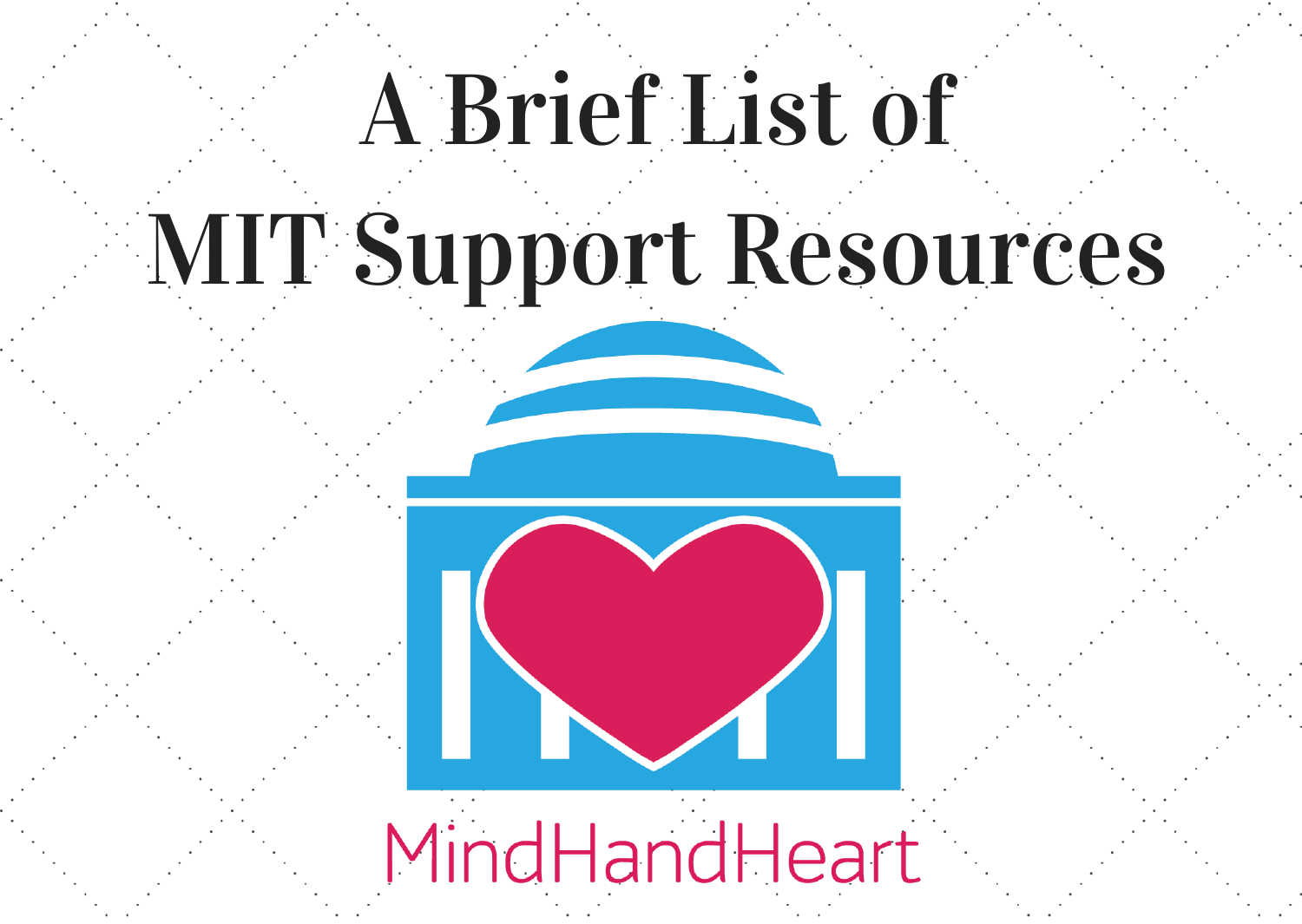# A Brief List of

# MIT Support Resources



MindHandHeart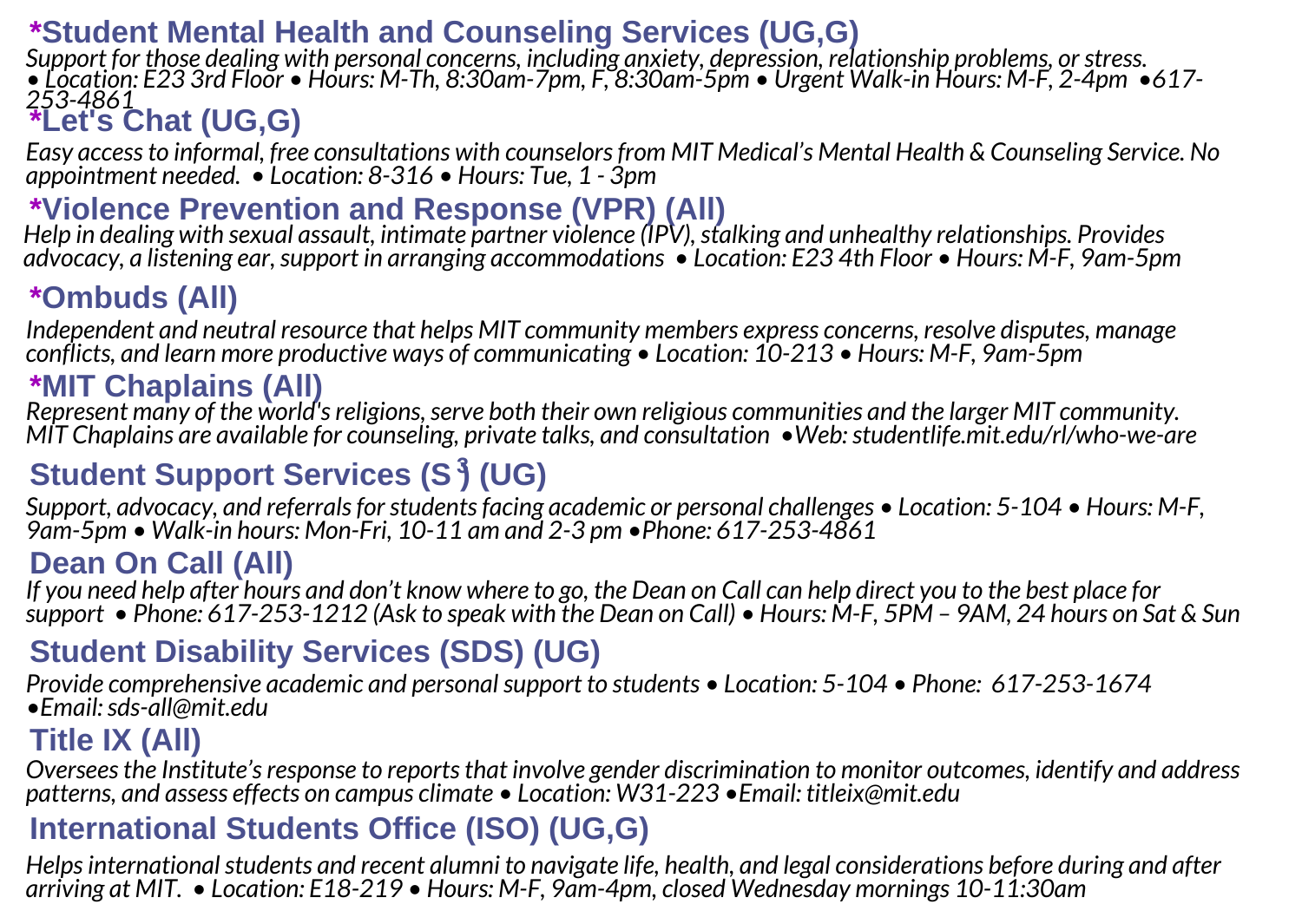#### **\*Student Mental Health and Counseling Services (UG,G)**

**\*Let's Chat (UG,G)** *253-4861 Support for those dealing with personal concerns, including anxiety, depression, relationship problems, orstress.* • Location: E23 3rd Floor • Hours: M-Th, 8:30am-7pm, F, 8:30am-5pm • Urgent Walk-in Hours: M-F, 2-4pm • 617-

*Easy accessto informal, free consultations with counselorsfrom MIT Medical's Mental Health & Counseling Service. No appointment needed. • Location: 8-316 • Hours: Tue, 1 - 3pm*

\*Violence Prevention and Response (VPR) (All)<br>Help in dealing with sexual assault, intimate partner violence (IPV), stalking and unhealthy relationships. Provides *advocacy, a listening ear,support in arranging accommodations • Location: E23 4th Floor • Hours: M-F, 9am-5pm*

#### **\*Ombuds (All)**

*Independent and neutral resource that helps MIT community members express concerns, resolve disputes, manage conflicts, and learn more productive ways of communicating • Location: 10-213 • Hours: M-F, 9am-5pm*

#### **\*MIT Chaplains (All)**

*Represent many of the world'sreligions,serve both their own religious communities and the larger MIT community. MIT Chaplains are available for counseling, private talks, and consultation •Web:studentlife.mit.edu/rl/who-we-are*

### **Student Support Services (S ) (UG) 3**

*Support, advocacy, and referralsforstudentsfacing academic or personal challenges • Location: 5-104 • Hours: M-F, 9am-5pm • Walk-in hours: Mon-Fri, 10-11 am and 2-3 pm •Phone: 617-253-4861*

#### **Dean On Call (All)**

If you need help after hours and don't know where to go, the Dean on Call can help direct you to the best place for support • Phone: 617-253-1212 (Ask to speak with the Dean on Call) • Hours: M-F, 5PM - 9AM, 24 hours on Sat & Sun

#### **Student Disability Services (SDS) (UG)**

*Provide comprehensive academic and personalsupport to students • Location: 5-104 • Phone: 617-253-1674 •Email:sds-all@mit.edu*

#### **Title IX (All)**

*Overseesthe Institute'sresponse to reportsthat involve gender discrimination to monitor outcomes, identify and address patterns, and assess effects on campus climate • Location: W31-223 •Email: titleix@mit.edu*

#### **International Students Office (ISO) (UG,G)**

*Helpsinternationalstudents and recent alumni to navigate life, health, and legal considerations before during and after arriving at MIT. • Location: E18-219 • Hours: M-F, 9am-4pm, closed Wednesday mornings 10-11:30am*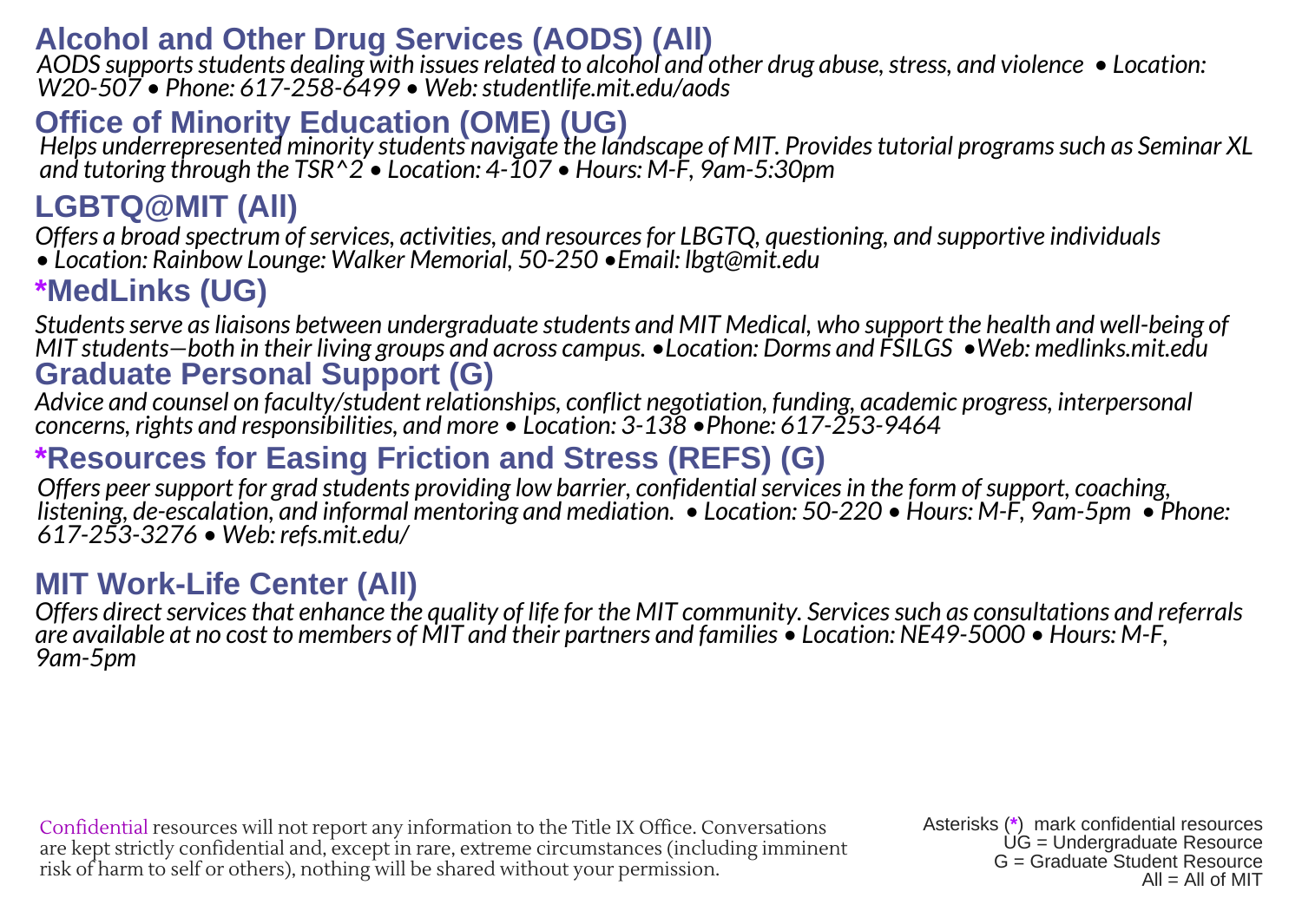#### **Alcohol and Other Drug Services (AODS) (All)**

AODS supports students dealing with issues related to alcohol and other drug abuse, stress, and violence • Location:<br>W20-507 • Phone: 617-258-6499 • Web: studentlife.mit.edu/aods

Office of Minority Education (OME) (UG)<br>Helps underrepresented minority students navigate the landscape of MIT. Provides tutorial programs such as Seminar XL *and tutoring through the TSR^2 • Location: 4-107 • Hours: M-F, 9am-5:30pm*

## **LGBTQ@MIT (All)**

*Offers a broad spectrum ofservices, activities, and resourcesfor LBGTQ, questioning, and supportive individuals • Location: Rainbow Lounge: Walker Memorial, 50-250 •Email: lbgt@mit.edu*

**\*MedLinks (UG)**

**Graduate Personal Support (G)** *Studentsserve asliaisons between undergraduate students and MIT Medical, who support the health and well-being of MIT students—both in their living groups and across campus. •Location: Dorms and FSILGS •Web: medlinks.mit.edu*

*Advice and counsel on faculty/student relationships, conflict negotiation, funding, academic progress, interpersonal concerns, rights and responsibilities, and more • Location: 3-138 •Phone: 617-253-9464*

#### **\*Resources for Easing Friction and Stress (REFS) (G)**

*Offers peersupport for grad students providing low barrier, confidentialservicesin the form ofsupport, coaching,* listening, de-escalation, and informal mentoring and mediation.  $\bullet$  Location: 50-220  $\bullet$  Hours: M-F, 9am-5pm  $\bullet$  Phone: *617-253-3276 • Web: refs.mit.edu/*

## **MIT Work-Life Center (All)**

Offers direct services that enhance the quality of life for the MIT community. Services such as consultations and referrals are available at no cost to members of MIT and their partners and families • Location: NE49-5000 • Hours: M-F. *9am-5pm*

Confidential resources will not report any information to the Title IX Office. Conversations are kept strictly confidential and, except in rare, extreme circumstances (including imminent risk of harm to self or others), nothing will be shared without your permission.

Asterisks (**\***) mark confidential resources UG = Undergraduate Resource G = Graduate Student Resource  $All = All$  of  $MIT$